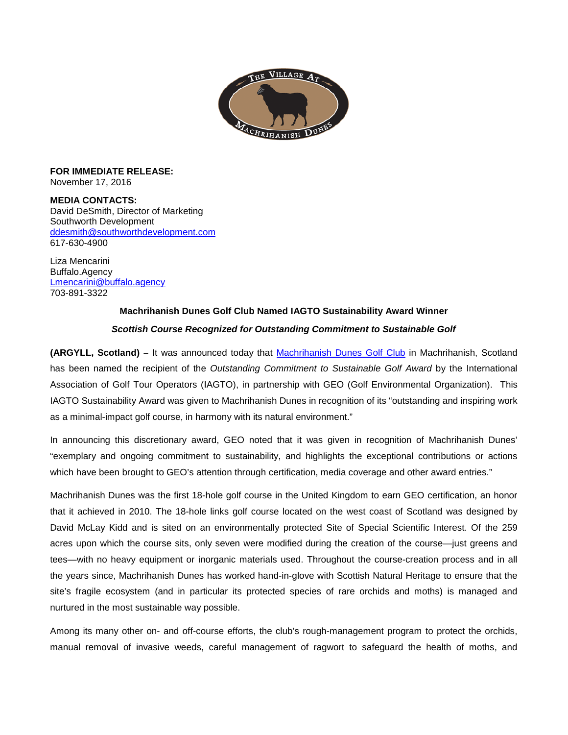

**FOR IMMEDIATE RELEASE:**  November 17, 2016

**MEDIA CONTACTS:**  David DeSmith, Director of Marketing Southworth Development [ddesmith@southworthdevelopment.com](mailto:ddesmith@southworthdevelopment.com) 617-630-4900

Liza Mencarini Buffalo.Agency [Lmencarini@buffalo.agency](mailto:Lmencarini@buffalo.agency) 703-891-3322

## **Machrihanish Dunes Golf Club Named IAGTO Sustainability Award Winner**

## *Scottish Course Recognized for Outstanding Commitment to Sustainable Golf*

**(ARGYLL, Scotland) –** It was announced today that [Machrihanish Dunes Golf Club](http://machrihanishdunes.com/) in Machrihanish, Scotland has been named the recipient of the *Outstanding Commitment to Sustainable Golf Award* by the International Association of Golf Tour Operators (IAGTO), in partnership with GEO (Golf Environmental Organization). This IAGTO Sustainability Award was given to Machrihanish Dunes in recognition of its "outstanding and inspiring work as a minimal-impact golf course, in harmony with its natural environment."

In announcing this discretionary award, GEO noted that it was given in recognition of Machrihanish Dunes' "exemplary and ongoing commitment to sustainability, and highlights the exceptional contributions or actions which have been brought to GEO's attention through certification, media coverage and other award entries."

Machrihanish Dunes was the first 18-hole golf course in the United Kingdom to earn GEO certification, an honor that it achieved in 2010. The 18-hole links golf course located on the west coast of Scotland was designed by David McLay Kidd and is sited on an environmentally protected Site of Special Scientific Interest. Of the 259 acres upon which the course sits, only seven were modified during the creation of the course—just greens and tees—with no heavy equipment or inorganic materials used. Throughout the course-creation process and in all the years since, Machrihanish Dunes has worked hand-in-glove with Scottish Natural Heritage to ensure that the site's fragile ecosystem (and in particular its protected species of rare orchids and moths) is managed and nurtured in the most sustainable way possible.

Among its many other on- and off-course efforts, the club's rough-management program to protect the orchids, manual removal of invasive weeds, careful management of ragwort to safeguard the health of moths, and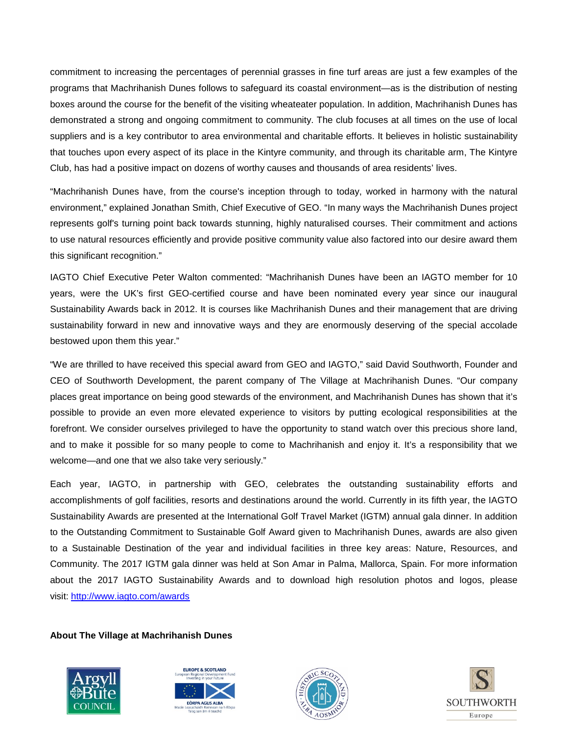commitment to increasing the percentages of perennial grasses in fine turf areas are just a few examples of the programs that Machrihanish Dunes follows to safeguard its coastal environment—as is the distribution of nesting boxes around the course for the benefit of the visiting wheateater population. In addition, Machrihanish Dunes has demonstrated a strong and ongoing commitment to community. The club focuses at all times on the use of local suppliers and is a key contributor to area environmental and charitable efforts. It believes in holistic sustainability that touches upon every aspect of its place in the Kintyre community, and through its charitable arm, The Kintyre Club, has had a positive impact on dozens of worthy causes and thousands of area residents' lives.

"Machrihanish Dunes have, from the course's inception through to today, worked in harmony with the natural environment," explained Jonathan Smith, Chief Executive of GEO. "In many ways the Machrihanish Dunes project represents golf's turning point back towards stunning, highly naturalised courses. Their commitment and actions to use natural resources efficiently and provide positive community value also factored into our desire award them this significant recognition."

IAGTO Chief Executive Peter Walton commented: "Machrihanish Dunes have been an IAGTO member for 10 years, were the UK's first GEO-certified course and have been nominated every year since our inaugural Sustainability Awards back in 2012. It is courses like Machrihanish Dunes and their management that are driving sustainability forward in new and innovative ways and they are enormously deserving of the special accolade bestowed upon them this year."

"We are thrilled to have received this special award from GEO and IAGTO," said David Southworth, Founder and CEO of Southworth Development, the parent company of The Village at Machrihanish Dunes. "Our company places great importance on being good stewards of the environment, and Machrihanish Dunes has shown that it's possible to provide an even more elevated experience to visitors by putting ecological responsibilities at the forefront. We consider ourselves privileged to have the opportunity to stand watch over this precious shore land, and to make it possible for so many people to come to Machrihanish and enjoy it. It's a responsibility that we welcome—and one that we also take very seriously."

Each year, IAGTO, in partnership with GEO, celebrates the outstanding sustainability efforts and accomplishments of golf facilities, resorts and destinations around the world. Currently in its fifth year, the IAGTO Sustainability Awards are presented at the International Golf Travel Market (IGTM) annual gala dinner. In addition to the Outstanding Commitment to Sustainable Golf Award given to Machrihanish Dunes, awards are also given to a Sustainable Destination of the year and individual facilities in three key areas: Nature, Resources, and Community. The 2017 IGTM gala dinner was held at Son Amar in Palma, Mallorca, Spain. For more information about the 2017 IAGTO Sustainability Awards and to download high resolution photos and logos, please visit: [http://www.iagto.com/awards](https://urldefense.proofpoint.com/v2/url?u=http-3A__www.iagto.com_awards&d=DQMFAw&c=euGZstcaTDllvimEN8b7jXrwqOf-v5A_CdpgnVfiiMM&r=FJIa8rspFl5wFXPmBQUy7EHX1WtqbJH6iM_DNhZfIQkE_WRMCXLAuY2oVoCl3Xd9&m=-2qaYZEzx69hYwDkm0lyuDy-3JMkGEG2Hb6xggjBwV4&s=nANY3YrGwusE7z8gb70XYNUEFhSa5OhqOkRGmPXnfkw&e=)

**About The Village at Machrihanish Dunes** 







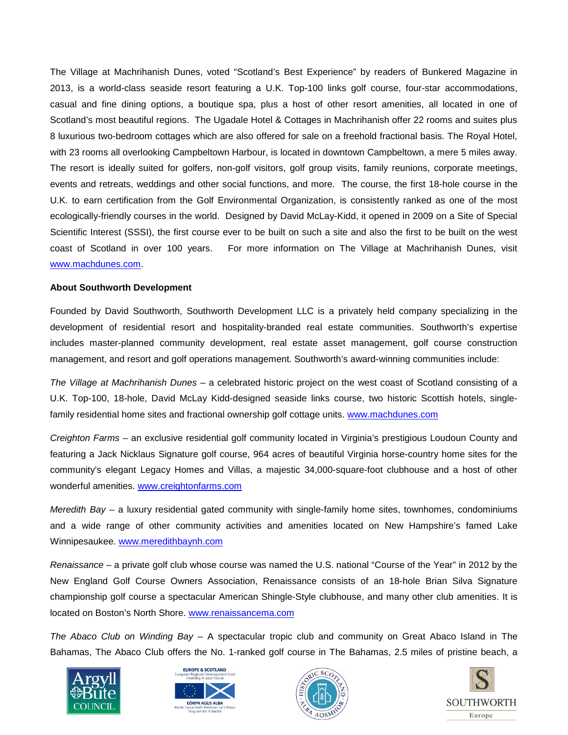The Village at Machrihanish Dunes, voted "Scotland's Best Experience" by readers of Bunkered Magazine in 2013, is a world-class seaside resort featuring a U.K. Top-100 links golf course, four-star accommodations, casual and fine dining options, a boutique spa, plus a host of other resort amenities, all located in one of Scotland's most beautiful regions. The Ugadale Hotel & Cottages in Machrihanish offer 22 rooms and suites plus 8 luxurious two-bedroom cottages which are also offered for sale on a freehold fractional basis. The Royal Hotel, with 23 rooms all overlooking Campbeltown Harbour, is located in downtown Campbeltown, a mere 5 miles away. The resort is ideally suited for golfers, non-golf visitors, golf group visits, family reunions, corporate meetings, events and retreats, weddings and other social functions, and more. The course, the first 18-hole course in the U.K. to earn certification from the Golf Environmental Organization, is consistently ranked as one of the most ecologically-friendly courses in the world. Designed by David McLay-Kidd, it opened in 2009 on a Site of Special Scientific Interest (SSSI), the first course ever to be built on such a site and also the first to be built on the west coast of Scotland in over 100 years. For more information on The Village at Machrihanish Dunes, visit [www.machdunes.com.](http://www.machdunes.com/)

## **About Southworth Development**

Founded by David Southworth, Southworth Development LLC is a privately held company specializing in the development of residential resort and hospitality-branded real estate communities. Southworth's expertise includes master-planned community development, real estate asset management, golf course construction management, and resort and golf operations management. Southworth's award-winning communities include:

*The Village at Machrihanish Dunes* – a celebrated historic project on the west coast of Scotland consisting of a U.K. Top-100, 18-hole, David McLay Kidd-designed seaside links course, two historic Scottish hotels, singlefamily residential home sites and fractional ownership golf cottage units. [www.machdunes.com](http://www.machdunes.com/)

*Creighton Farms* – an exclusive residential golf community located in Virginia's prestigious Loudoun County and featuring a Jack Nicklaus Signature golf course, 964 acres of beautiful Virginia horse-country home sites for the community's elegant Legacy Homes and Villas, a majestic 34,000-square-foot clubhouse and a host of other wonderful amenities. [www.creightonfarms.com](http://www.creightonfarms.com/)

*Meredith Bay* – a luxury residential gated community with single-family home sites, townhomes, condominiums and a wide range of other community activities and amenities located on New Hampshire's famed Lake Winnipesaukee. [www.meredithbaynh.com](http://www.meredithbaynh.com/)

*Renaissance* – a private golf club whose course was named the U.S. national "Course of the Year" in 2012 by the New England Golf Course Owners Association, Renaissance consists of an 18-hole Brian Silva Signature championship golf course a spectacular American Shingle-Style clubhouse, and many other club amenities. It is located on Boston's North Shore. [www.renaissancema.com](http://www.renaissancema.com/)

*The Abaco Club on Winding Bay* – A spectacular tropic club and community on Great Abaco Island in The Bahamas, The Abaco Club offers the No. 1-ranked golf course in The Bahamas, 2.5 miles of pristine beach, a